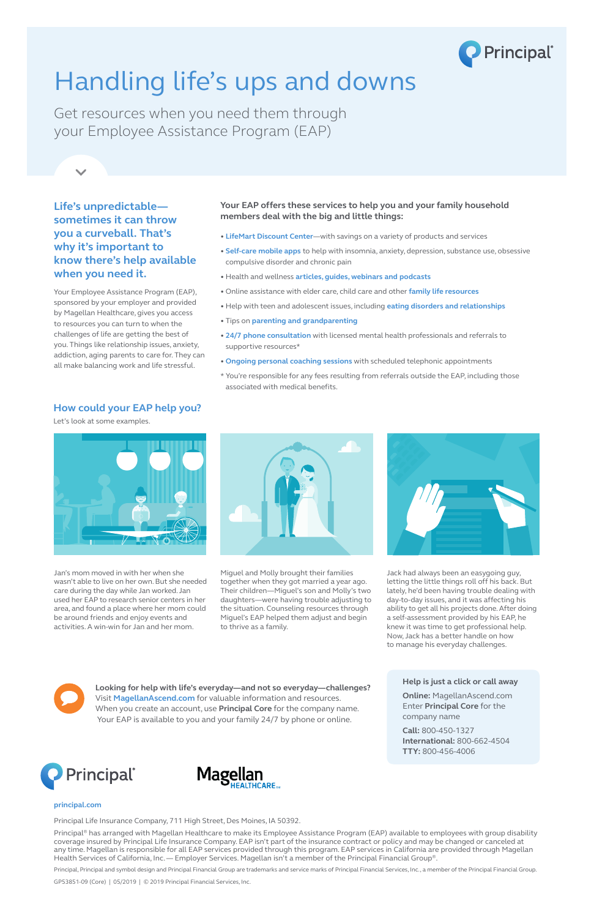

# Handling life's ups and downs

Get resources when you need them through your Employee Assistance Program (EAP)

### **How could your EAP help you?**

Let's look at some examples.



## **Life's unpredictable sometimes it can throw you a curveball. That's why it's important to know there's help available when you need it.**

Your Employee Assistance Program (EAP), sponsored by your employer and provided by Magellan Healthcare, gives you access to resources you can turn to when the challenges of life are getting the best of you. Things like relationship issues, anxiety, addiction, aging parents to care for. They can all make balancing work and life stressful.

### **Your EAP offers these services to help you and your family household members deal with the big and little things:**

- **LifeMart Discount Center**—with savings on a variety of products and services
- **Self-care mobile apps** to help with insomnia, anxiety, depression, substance use, obsessive compulsive disorder and chronic pain
- Health and wellness **articles, guides, webinars and podcasts**
- Online assistance with elder care, child care and other **family life resources**
- Help with teen and adolescent issues, including **eating disorders and relationships**
- Tips on **parenting and grandparenting**
- **24/7 phone consultation** with licensed mental health professionals and referrals to supportive resources\*
- **Ongoing personal coaching sessions** with scheduled telephonic appointments
- \* You're responsible for any fees resulting from referrals outside the EAP, including those associated with medical benefits.

Jan's mom moved in with her when she wasn't able to live on her own. But she needed care during the day while Jan worked. Jan used her EAP to research senior centers in her area, and found a place where her mom could be around friends and enjoy events and activities. A win-win for Jan and her mom.



Miguel and Molly brought their families together when they got married a year ago. Their children—Miguel's son and Molly's two daughters—were having trouble adjusting to the situation. Counseling resources through Miguel's EAP helped them adjust and begin to thrive as a family.



Jack had always been an easygoing guy, letting the little things roll off his back. But lately, he'd been having trouble dealing with day-to-day issues, and it was affecting his ability to get all his projects done. After doing a self-assessment provided by his EAP, he knew it was time to get professional help. Now, Jack has a better handle on how to manage his everyday challenges.



#### **principal.com**

Principal Life Insurance Company, 711 High Street, Des Moines, IA 50392.

Principal® has arranged with Magellan Healthcare to make its Employee Assistance Program (EAP) available to employees with group disability coverage insured by Principal Life Insurance Company. EAP isn't part of the insurance contract or policy and may be changed or canceled at any time. Magellan is responsible for all EAP services provided through this program. EAP services in California are provided through Magellan Health Services of California, Inc. — Employer Services. Magellan isn't a member of the Principal Financial Group®.

Principal, Principal and symbol design and Principal Financial Group are trademarks and service marks of Principal Financial Services, Inc., a member of the Principal Financial Group.

GP53851-09 (Core) | 05/2019 | © 2019 Principal Financial Services, Inc.

**Looking for help with life's everyday—and not so everyday—challenges?** Visit **MagellanAscend.com** for valuable information and resources. When you create an account, use **Principal Core** for the company name. Your EAP is available to you and your family 24/7 by phone or online.

**Help is just a click or call away**

**Online:** MagellanAscend.com Enter **Principal Core** for the company name

**Call:** 800-450-1327 **International:** 800-662-4504 **TTY:** 800-456-4006